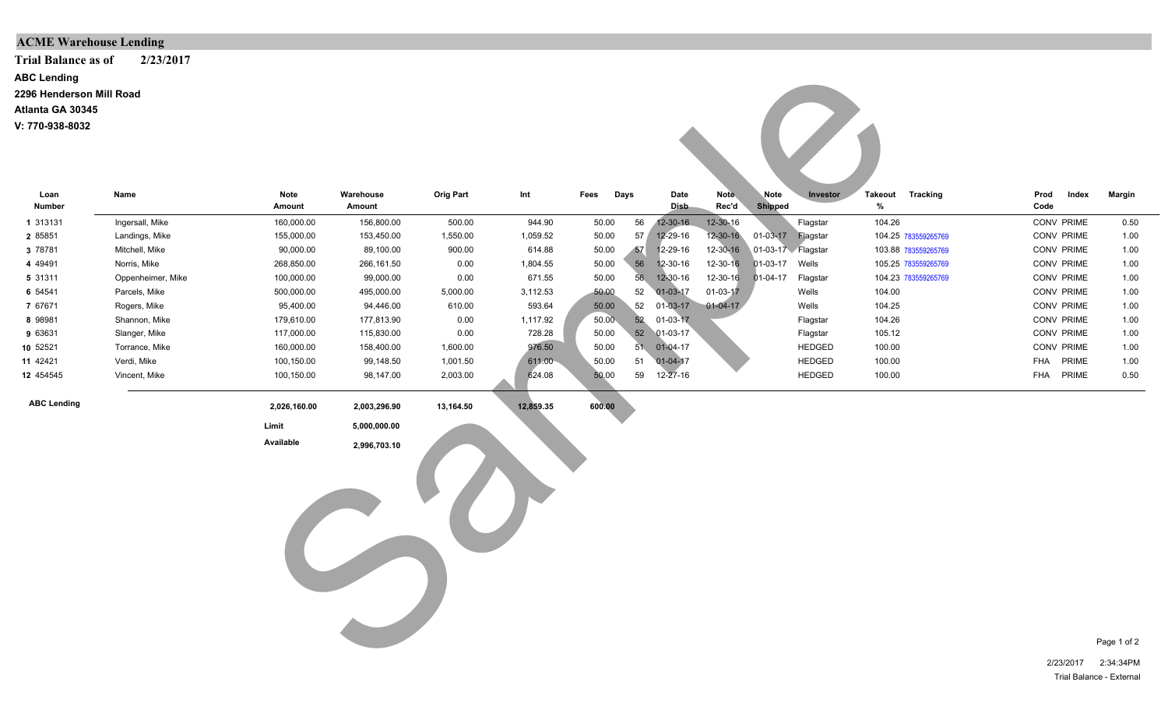## **ACME Warehouse Lending**

**Trial Balance as of 2/23/2017**

**ABC Lending**

**2296 Henderson Mill Road**

**Atlanta GA 30345**

**V: 770-938-8032**

| <b>ABC Lending</b><br>2296 Henderson Mill Road<br>Atlanta GA 30345<br>V: 770-938-8032 |                   |                       |                     |                  |           |          |      |                     |                |                   |               |                     |                 |              |                   |             |
|---------------------------------------------------------------------------------------|-------------------|-----------------------|---------------------|------------------|-----------|----------|------|---------------------|----------------|-------------------|---------------|---------------------|-----------------|--------------|-------------------|-------------|
| Loan<br><b>Number</b>                                                                 | Name              | <b>Note</b><br>Amount | Warehouse<br>Amount | <b>Orig Part</b> | Int       | Fees     | Days | Date<br><b>Disb</b> | Note<br>Rec'd  | Note<br>Shipped   | Investor      | <b>Takeout</b><br>% | <b>Tracking</b> | Prod<br>Code | Index             | Margin      |
| 1 313131                                                                              | Ingersall, Mike   | 160,000.00            | 156,800.00          | 500.00           | 944.90    | 50.00    | 56   | $12 - 30 - 16$      | 12-30-16       |                   | Flagstar      | 104.26              |                 |              | <b>CONV PRIME</b> | 0.50        |
| 2 85851                                                                               | Landings, Mike    | 155,000.00            | 153,450.00          | 1,550.00         | 1,059.52  | 50.00    | 57/  | 12-29-16            | 12-30-16       |                   |               | 104.25 783559265769 |                 |              | CONV PRIME        | 1.00        |
| 3 78781                                                                               | Mitchell, Mike    | 90,000.00             | 89,100.00           | 900.00           | 614.88    | 50.00    | 57   | 12-29-16            | 12-30-16       | 01-03-17 Flagstar |               | 103.88 783559265769 |                 |              | CONV PRIME        | 1.00        |
| 4 4 9 4 9 1                                                                           | Norris, Mike      | 268,850.00            | 266,161.50          | 0.00             | 1,804.55  | 50.00    | 56   | 12-30-16            | 12-30-16       | 01-03-17 Wells    |               | 105.25 783559265769 |                 |              | CONV PRIME        | 1.00        |
| 5 31311                                                                               | Oppenheimer, Mike | 100,000.00            | 99,000.00           | 0.00             | 671.55    | 50.00    |      | 56 12-30-16         | 12-30-16       | $01-04-17$        | Flagstar      | 104.23 783559265769 |                 |              | CONV PRIME        | 1.00        |
| 6 54541                                                                               | Parcels, Mike     | 500,000.00            | 495,000.00          | 5,000.00         | 3,112.53  | $-50.00$ | 52   | 01-03-17            | $01 - 03 - 17$ |                   | Wells         | 104.00              |                 |              | CONV PRIME        | 1.00        |
| 7 67671                                                                               | Rogers, Mike      | 95,400.00             | 94,446.00           | 610.00           | 593.64    | 50.00    | 52   | $01 - 03 - 17$      | $01 - 04 - 17$ |                   | Wells         | 104.25              |                 |              | <b>CONV PRIME</b> | 1.00        |
| 8 98981                                                                               | Shannon, Mike     | 179,610.00            | 177,813.90          | 0.00             | 1,117.92  | 50.00    |      | 52 01-03-17         |                |                   | Flagstar      | 104.26              |                 |              | CONV PRIME        | 1.00        |
| 9 63631                                                                               | Slanger, Mike     | 117,000.00            | 115,830.00          | 0.00             | 728.28    | 50.00    | 52   | $01-03-17$          |                |                   | Flagstar      | 105.12              |                 |              | <b>CONV PRIME</b> | 1.00        |
| 10 52521                                                                              | Torrance, Mike    | 160,000.00            | 158,400.00          | 1,600.00         | 976.50    | 50.00    |      | 51 01-04-17         |                |                   | <b>HEDGED</b> | 100.00              |                 |              | CONV PRIME        | 1.00        |
| 11 42421                                                                              | Verdi, Mike       | 100,150.00            | 99,148.50           | 1,001.50         | 611.00    | 50.00    | 51   | $01 - 04 - 17$      |                |                   | <b>HEDGED</b> | 100.00              |                 |              | FHA PRIME         | 1.00        |
| 12 454545                                                                             | Vincent, Mike     | 100,150.00            | 98,147.00           | 2,003.00         | 624.08    | 50.00    | 59   | $12 - 27 - 16$      |                |                   | <b>HEDGED</b> | 100.00              |                 |              | FHA PRIME         | 0.50        |
| <b>ABC Lending</b>                                                                    |                   | 2,026,160.00          | 2,003,296.90        | 13,164.50        | 12,859.35 | 600.00   |      |                     |                |                   |               |                     |                 |              |                   |             |
|                                                                                       |                   | Limit                 | 5,000,000.00        |                  |           |          |      |                     |                |                   |               |                     |                 |              |                   |             |
|                                                                                       |                   | Available             | 2,996,703.10        |                  |           |          |      |                     |                |                   |               |                     |                 |              |                   |             |
|                                                                                       |                   |                       |                     |                  |           |          |      |                     |                |                   |               |                     |                 |              |                   | Page 1 of 2 |
|                                                                                       |                   |                       |                     |                  |           |          |      |                     |                |                   |               |                     |                 |              | 2/23/2017         | 2:34:34PM   |

2/23/2017 2:34:34PM Trial Balance - External